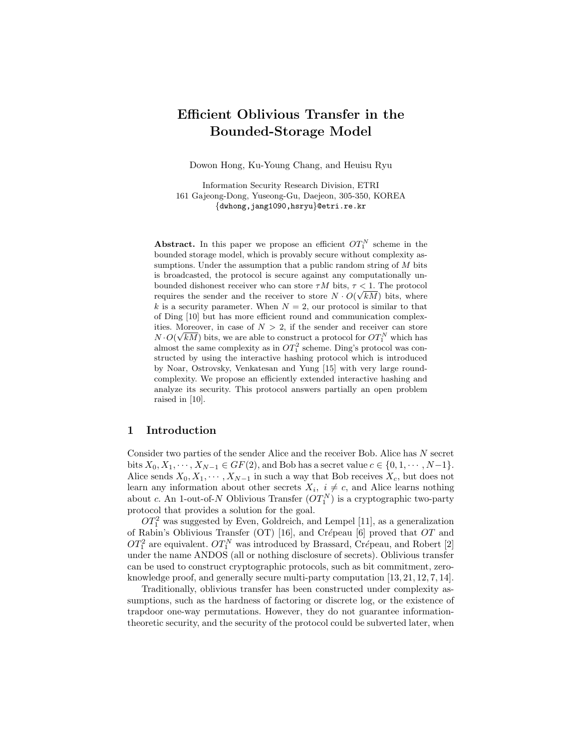# Efficient Oblivious Transfer in the Bounded-Storage Model

Dowon Hong, Ku-Young Chang, and Heuisu Ryu

Information Security Research Division, ETRI 161 Gajeong-Dong, Yuseong-Gu, Daejeon, 305-350, KOREA {dwhong,jang1090,hsryu}@etri.re.kr

Abstract. In this paper we propose an efficient  $OT_1^N$  scheme in the bounded storage model, which is provably secure without complexity assumptions. Under the assumption that a public random string of  $M$  bits is broadcasted, the protocol is secure against any computationally unbounded dishonest receiver who can store  $\tau M$  bits,  $\tau < 1$ . The protocol requires the sender and the receiver to store  $N \cdot O(\sqrt{kM})$  bits, where k is a security parameter. When  $N = 2$ , our protocol is similar to that of Ding [10] but has more efficient round and communication complexities. Moreover, in case of  $N > 2$ , if the sender and receiver can store  $N \cdot O(\sqrt{kM})$  bits, we are able to construct a protocol for  $OT_1^N$  which has almost the same complexity as in  $OT_1^2$  scheme. Ding's protocol was constructed by using the interactive hashing protocol which is introduced by Noar, Ostrovsky, Venkatesan and Yung [15] with very large roundcomplexity. We propose an efficiently extended interactive hashing and analyze its security. This protocol answers partially an open problem raised in [10].

## 1 Introduction

Consider two parties of the sender Alice and the receiver Bob. Alice has N secret bits  $X_0, X_1, \dots, X_{N-1} \in GF(2)$ , and Bob has a secret value  $c \in \{0, 1, \dots, N-1\}$ . Alice sends  $X_0, X_1, \cdots, X_{N-1}$  in such a way that Bob receives  $X_c$ , but does not learn any information about other secrets  $X_i$ ,  $i \neq c$ , and Alice learns nothing about c. An 1-out-of-N Oblivious Transfer  $(OT_1^N)$  is a cryptographic two-party protocol that provides a solution for the goal.

 $OT<sub>1</sub><sup>2</sup>$  was suggested by Even, Goldreich, and Lempel [11], as a generalization of Rabin's Oblivious Transfer (OT) [16], and Crépeau [6] proved that  $OT$  and  $OT<sub>1</sub><sup>2</sup>$  are equivalent.  $OT<sub>1</sub><sup>N</sup>$  was introduced by Brassard, Crépeau, and Robert [2] under the name ANDOS (all or nothing disclosure of secrets). Oblivious transfer can be used to construct cryptographic protocols, such as bit commitment, zeroknowledge proof, and generally secure multi-party computation [13, 21, 12, 7, 14].

Traditionally, oblivious transfer has been constructed under complexity assumptions, such as the hardness of factoring or discrete log, or the existence of trapdoor one-way permutations. However, they do not guarantee informationtheoretic security, and the security of the protocol could be subverted later, when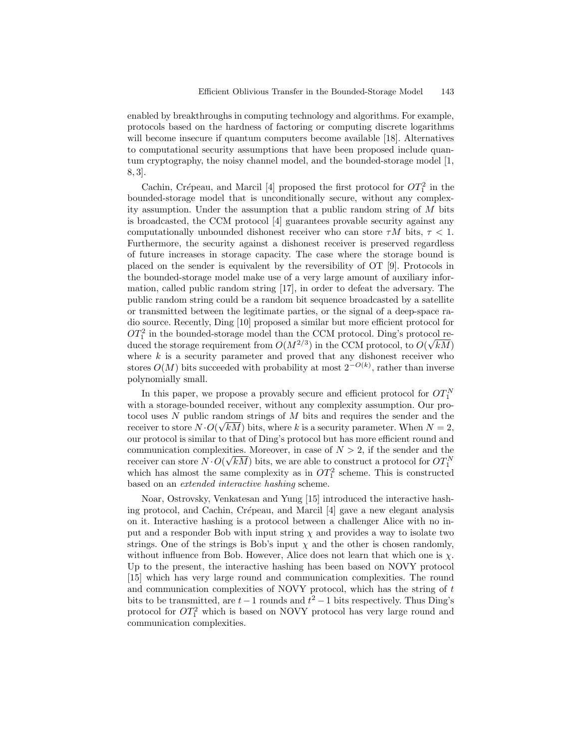enabled by breakthroughs in computing technology and algorithms. For example, protocols based on the hardness of factoring or computing discrete logarithms will become insecure if quantum computers become available [18]. Alternatives to computational security assumptions that have been proposed include quantum cryptography, the noisy channel model, and the bounded-storage model [1, 8, 3].

Cachin, Crépeau, and Marcil [4] proposed the first protocol for  $OT_1^2$  in the bounded-storage model that is unconditionally secure, without any complexity assumption. Under the assumption that a public random string of M bits is broadcasted, the CCM protocol [4] guarantees provable security against any computationally unbounded dishonest receiver who can store  $\tau M$  bits,  $\tau < 1$ . Furthermore, the security against a dishonest receiver is preserved regardless of future increases in storage capacity. The case where the storage bound is placed on the sender is equivalent by the reversibility of OT [9]. Protocols in the bounded-storage model make use of a very large amount of auxiliary information, called public random string [17], in order to defeat the adversary. The public random string could be a random bit sequence broadcasted by a satellite or transmitted between the legitimate parties, or the signal of a deep-space radio source. Recently, Ding [10] proposed a similar but more efficient protocol for  $OT<sub>1</sub><sup>2</sup>$  in the bounded-storage model than the CCM protocol. Ding's protocol reduced the storage requirement from  $O(M^{2/3})$  in the CCM protocol, to  $O(\sqrt{kM})$ where  $k$  is a security parameter and proved that any dishonest receiver who stores  $O(M)$  bits succeeded with probability at most  $2^{-O(k)}$ , rather than inverse polynomially small.

In this paper, we propose a provably secure and efficient protocol for  $OT_1^N$ with a storage-bounded receiver, without any complexity assumption. Our protocol uses N public random strings of M bits and requires the sender and the receiver to store  $N \cdot O(\sqrt{kM})$  bits, where k is a security parameter. When  $N = 2$ , our protocol is similar to that of Ding's protocol but has more efficient round and communication complexities. Moreover, in case of  $N > 2$ , if the sender and the receiver can store  $N \cdot O(\sqrt{kM})$  bits, we are able to construct a protocol for  $OT_1^N$ which has almost the same complexity as in  $OT_1^2$  scheme. This is constructed based on an extended interactive hashing scheme.

Noar, Ostrovsky, Venkatesan and Yung [15] introduced the interactive hashing protocol, and Cachin, Crépeau, and Marcil  $[4]$  gave a new elegant analysis on it. Interactive hashing is a protocol between a challenger Alice with no input and a responder Bob with input string  $\chi$  and provides a way to isolate two strings. One of the strings is Bob's input  $\chi$  and the other is chosen randomly, without influence from Bob. However, Alice does not learn that which one is  $\chi$ . Up to the present, the interactive hashing has been based on NOVY protocol [15] which has very large round and communication complexities. The round and communication complexities of NOVY protocol, which has the string of t bits to be transmitted, are  $t-1$  rounds and  $t^2-1$  bits respectively. Thus Ding's protocol for  $OT_1^2$  which is based on NOVY protocol has very large round and communication complexities.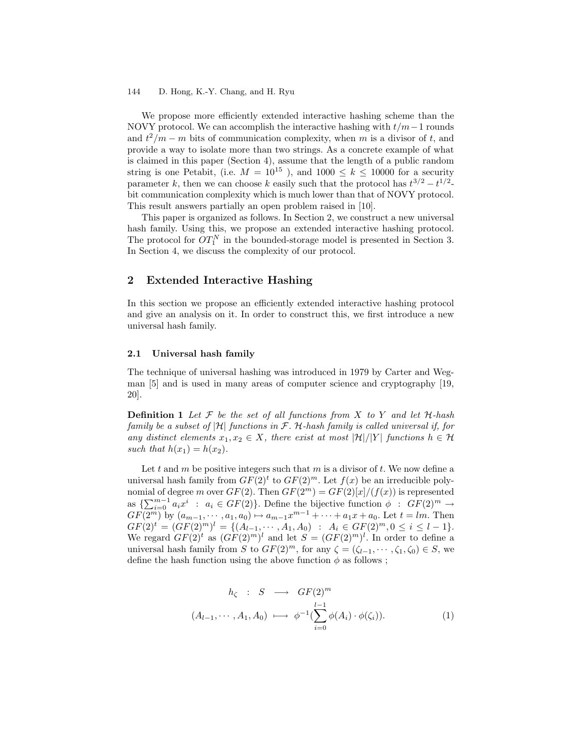We propose more efficiently extended interactive hashing scheme than the NOVY protocol. We can accomplish the interactive hashing with  $t/m-1$  rounds and  $t^2/m - m$  bits of communication complexity, when m is a divisor of t, and provide a way to isolate more than two strings. As a concrete example of what is claimed in this paper (Section 4), assume that the length of a public random string is one Petabit, (i.e.  $M = 10^{15}$ ), and  $1000 \le k \le 10000$  for a security parameter k, then we can choose k easily such that the protocol has  $t^{3/2} - t^{1/2}$ . bit communication complexity which is much lower than that of NOVY protocol. This result answers partially an open problem raised in [10].

This paper is organized as follows. In Section 2, we construct a new universal hash family. Using this, we propose an extended interactive hashing protocol. The protocol for  $OT_1^N$  in the bounded-storage model is presented in Section 3. In Section 4, we discuss the complexity of our protocol.

## 2 Extended Interactive Hashing

In this section we propose an efficiently extended interactive hashing protocol and give an analysis on it. In order to construct this, we first introduce a new universal hash family.

#### 2.1 Universal hash family

The technique of universal hashing was introduced in 1979 by Carter and Wegman [5] and is used in many areas of computer science and cryptography [19, 20].

**Definition 1** Let  $\mathcal F$  be the set of all functions from  $X$  to  $Y$  and let  $\mathcal H$ -hash family be a subset of  $|\mathcal{H}|$  functions in F. H-hash family is called universal if, for any distinct elements  $x_1, x_2 \in X$ , there exist at most  $|\mathcal{H}|/|Y|$  functions  $h \in \mathcal{H}$ such that  $h(x_1) = h(x_2)$ .

Let t and m be positive integers such that m is a divisor of t. We now define a universal hash family from  $GF(2)<sup>t</sup>$  to  $GF(2)<sup>m</sup>$ . Let  $f(x)$  be an irreducible polynomial of degree m over  $GF(2)$ . Then  $GF(2<sup>m</sup>) = GF(2)[x]/(f(x))$  is represented as  $\{\sum_{i=0}^{m-1} a_i x^i : a_i \in GF(2)\}\)$ . Define the bijective function  $\phi : GF(2)^m \to$  $GF(2^m)$  by  $(a_{m-1}, \dots, a_1, a_0) \mapsto a_{m-1}x^{m-1} + \dots + a_1x + a_0$ . Let  $t = lm$ . Then  $GF(2)^t = (GF(2)^m)^l = \{ (A_{l-1}, \cdots, A_1, A_0) : A_i \in GF(2)^m, 0 \le i \le l-1 \}.$ We regard  $GF(2)^t$  as  $(GF(2)^m)^l$  and let  $S = (GF(2)^m)^l$ . In order to define a universal hash family from S to  $GF(2)^m$ , for any  $\zeta = (\zeta_{l-1}, \cdots, \zeta_1, \zeta_0) \in S$ , we define the hash function using the above function  $\phi$  as follows;

$$
h_{\zeta} : S \longrightarrow GF(2)^m
$$
  

$$
(A_{l-1}, \cdots, A_1, A_0) \longmapsto \phi^{-1}(\sum_{i=0}^{l-1} \phi(A_i) \cdot \phi(\zeta_i)).
$$
 (1)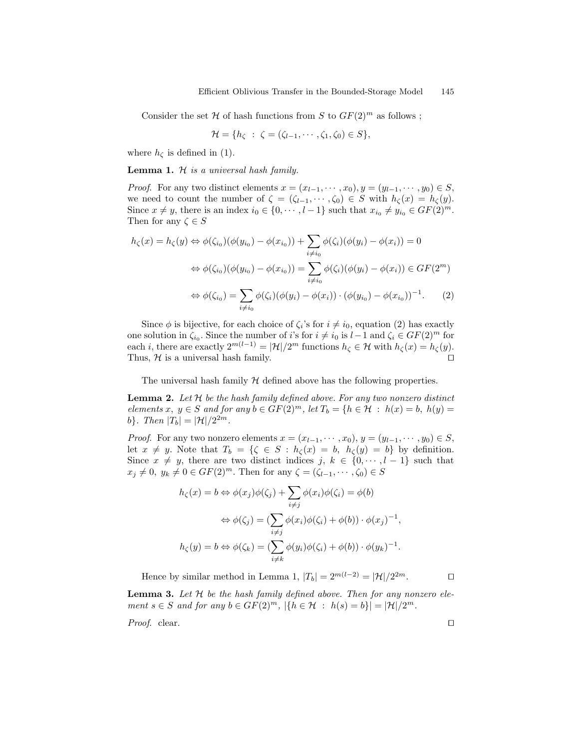Consider the set H of hash functions from S to  $GF(2)^m$  as follows;

$$
\mathcal{H} = \{h_{\zeta} : \zeta = (\zeta_{l-1}, \cdots, \zeta_1, \zeta_0) \in S\},\
$$

where  $h_{\zeta}$  is defined in (1).

**Lemma 1.**  $H$  is a universal hash family.

*Proof.* For any two distinct elements  $x = (x_{l-1}, \dots, x_0), y = (y_{l-1}, \dots, y_0) \in S$ , we need to count the number of  $\zeta = (\zeta_{l-1}, \cdots, \zeta_0) \in S$  with  $h_{\zeta}(x) = h_{\zeta}(y)$ . Since  $x \neq y$ , there is an index  $i_0 \in \{0, \dots, l-1\}$  such that  $x_{i_0} \neq y_{i_0} \in GF(2)^m$ . Then for any  $\zeta \in S$ 

$$
h_{\zeta}(x) = h_{\zeta}(y) \Leftrightarrow \phi(\zeta_{i_0})(\phi(y_{i_0}) - \phi(x_{i_0})) + \sum_{i \neq i_0} \phi(\zeta_i)(\phi(y_i) - \phi(x_i)) = 0
$$
  

$$
\Leftrightarrow \phi(\zeta_{i_0})(\phi(y_{i_0}) - \phi(x_{i_0})) = \sum_{i \neq i_0} \phi(\zeta_i)(\phi(y_i) - \phi(x_i)) \in GF(2^m)
$$
  

$$
\Leftrightarrow \phi(\zeta_{i_0}) = \sum_{i \neq i_0} \phi(\zeta_i)(\phi(y_i) - \phi(x_i)) \cdot (\phi(y_{i_0}) - \phi(x_{i_0}))^{-1}.
$$
 (2)

Since  $\phi$  is bijective, for each choice of  $\zeta_i$ 's for  $i \neq i_0$ , equation (2) has exactly one solution in  $\zeta_{i_0}$ . Since the number of i's for  $i \neq i_0$  is  $l-1$  and  $\zeta_i \in GF(2)^m$  for each *i*, there are exactly  $2^{m(l-1)} = |\mathcal{H}|/2^m$  functions  $h_{\zeta} \in \mathcal{H}$  with  $h_{\zeta}(x) = h_{\zeta}(y)$ . Thus,  $H$  is a universal hash family.  $\square$ 

The universal hash family  $H$  defined above has the following properties.

**Lemma 2.** Let  $H$  be the hash family defined above. For any two nonzero distinct elements x,  $y \in S$  and for any  $b \in GF(2)^m$ , let  $T_b = \{h \in \mathcal{H} : h(x) = b, h(y) = 0\}$ b}. Then  $|T_b| = |\mathcal{H}|/2^{2m}$ .

*Proof.* For any two nonzero elements  $x = (x_{l-1}, \dots, x_0), y = (y_{l-1}, \dots, y_0) \in S$ , let  $x \neq y$ . Note that  $T_b = \{ \zeta \in S : h_{\zeta}(x) = b, h_{\zeta}(y) = b \}$  by definition. Since  $x \neq y$ , there are two distinct indices j,  $k \in \{0, \dots, l-1\}$  such that  $x_j \neq 0, y_k \neq 0 \in GF(2)^m$ . Then for any  $\zeta = (\zeta_{l-1}, \dots, \zeta_0) \in S$ 

$$
h_{\zeta}(x) = b \Leftrightarrow \phi(x_j)\phi(\zeta_j) + \sum_{i \neq j} \phi(x_i)\phi(\zeta_i) = \phi(b)
$$
  

$$
\Leftrightarrow \phi(\zeta_j) = (\sum_{i \neq j} \phi(x_i)\phi(\zeta_i) + \phi(b)) \cdot \phi(x_j)^{-1},
$$
  

$$
h_{\zeta}(y) = b \Leftrightarrow \phi(\zeta_k) = (\sum_{i \neq k} \phi(y_i)\phi(\zeta_i) + \phi(b)) \cdot \phi(y_k)^{-1}.
$$

Hence by similar method in Lemma 1,  $|T_b| = 2^{m(l-2)} = |\mathcal{H}|/2^{2m}$ .

**Lemma 3.** Let  $H$  be the hash family defined above. Then for any nonzero element  $s \in S$  and for any  $b \in GF(2)^m$ ,  $|\{h \in \mathcal{H} : h(s) = b\}| = |\mathcal{H}|/2^m$ .

*Proof.* clear.  $\Box$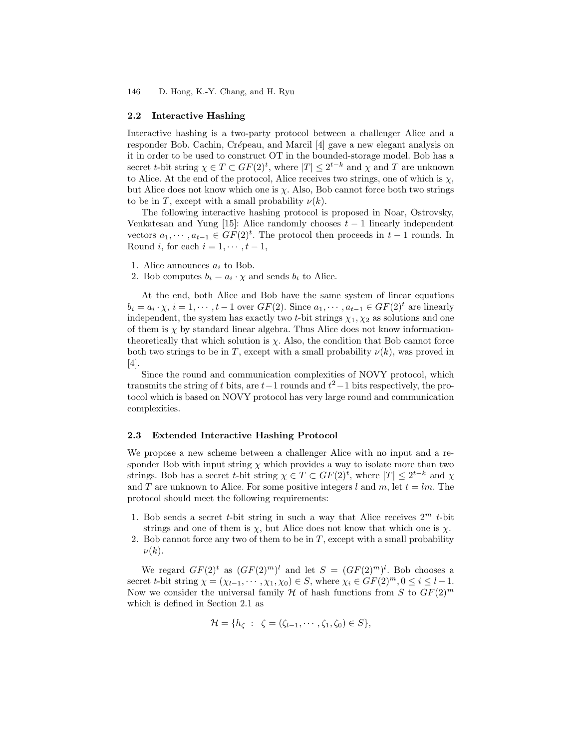#### 2.2 Interactive Hashing

Interactive hashing is a two-party protocol between a challenger Alice and a responder Bob. Cachin, Crépeau, and Marcil [4] gave a new elegant analysis on it in order to be used to construct OT in the bounded-storage model. Bob has a secret *t*-bit string  $\chi \in T \subset GF(2)^t$ , where  $|T| \leq 2^{t-k}$  and  $\chi$  and  $T$  are unknown to Alice. At the end of the protocol, Alice receives two strings, one of which is  $\chi$ , but Alice does not know which one is  $\chi$ . Also, Bob cannot force both two strings to be in T, except with a small probability  $\nu(k)$ .

The following interactive hashing protocol is proposed in Noar, Ostrovsky, Venkatesan and Yung [15]: Alice randomly chooses  $t-1$  linearly independent vectors  $a_1, \dots, a_{t-1} \in GF(2)^t$ . The protocol then proceeds in  $t-1$  rounds. In Round i, for each  $i = 1, \dots, t-1$ ,

- 1. Alice announces  $a_i$  to Bob.
- 2. Bob computes  $b_i = a_i \cdot \chi$  and sends  $b_i$  to Alice.

At the end, both Alice and Bob have the same system of linear equations  $b_i = a_i \cdot \chi, i = 1, \cdots, t-1$  over  $GF(2)$ . Since  $a_1, \cdots, a_{t-1} \in GF(2)^t$  are linearly independent, the system has exactly two t-bit strings  $\chi_1, \chi_2$  as solutions and one of them is  $\chi$  by standard linear algebra. Thus Alice does not know informationtheoretically that which solution is  $\chi$ . Also, the condition that Bob cannot force both two strings to be in T, except with a small probability  $\nu(k)$ , was proved in [4].

Since the round and communication complexities of NOVY protocol, which transmits the string of t bits, are  $t-1$  rounds and  $t^2-1$  bits respectively, the protocol which is based on NOVY protocol has very large round and communication complexities.

#### 2.3 Extended Interactive Hashing Protocol

We propose a new scheme between a challenger Alice with no input and a responder Bob with input string  $\chi$  which provides a way to isolate more than two strings. Bob has a secret t-bit string  $\chi \in T \subset GF(2)^t$ , where  $|T| \leq 2^{t-k}$  and  $\chi$ and T are unknown to Alice. For some positive integers l and m, let  $t = lm$ . The protocol should meet the following requirements:

- 1. Bob sends a secret *t*-bit string in such a way that Alice receives  $2^m$  *t*-bit strings and one of them is  $\chi$ , but Alice does not know that which one is  $\chi$ .
- 2. Bob cannot force any two of them to be in  $T$ , except with a small probability  $\nu(k)$ .

We regard  $GF(2)^t$  as  $(GF(2)^m)^l$  and let  $S = (GF(2)^m)^l$ . Bob chooses a secret t-bit string  $\chi = (\chi_{l-1}, \cdots, \chi_1, \chi_0) \in S$ , where  $\chi_i \in GF(2)^m, 0 \leq i \leq l-1$ . Now we consider the universal family  $H$  of hash functions from S to  $GF(2)<sup>m</sup>$ which is defined in Section 2.1 as

$$
\mathcal{H} = \{h_{\zeta} : \zeta = (\zeta_{l-1}, \cdots, \zeta_1, \zeta_0) \in S\},\
$$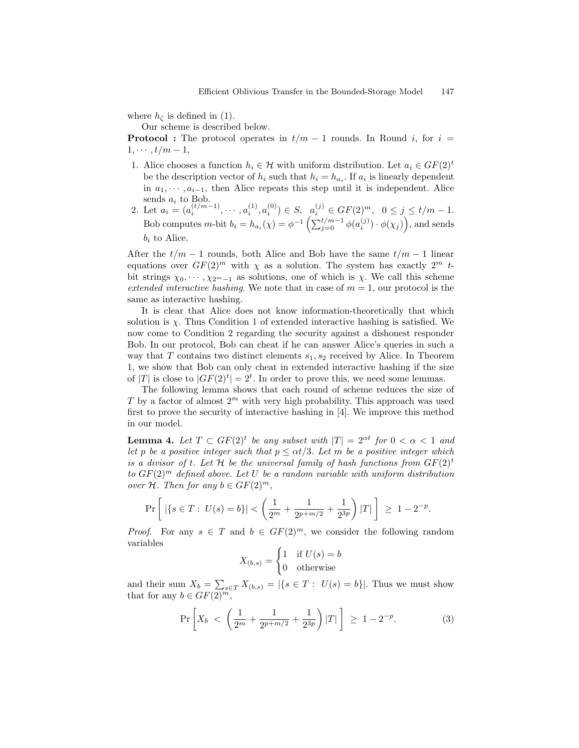where  $h_{\zeta}$  is defined in (1).

Our scheme is described below.

**Protocol :** The protocol operates in  $t/m - 1$  rounds. In Round i, for  $i =$  $1, \cdots, t/m-1,$ 

- 1. Alice chooses a function  $h_i \in \mathcal{H}$  with uniform distribution. Let  $a_i \in GF(2)^t$ be the description vector of  $h_i$  such that  $h_i = h_{a_i}$ . If  $a_i$  is linearly dependent in  $a_1, \dots, a_{i-1}$ , then Alice repeats this step until it is independent. Alice sends  $a_i$  to Bob.
- 2. Let  $a_i = (a_i^{(t/m-1)}, \cdots, a_i^{(1)}, a_i^{(0)}) \in S, \ \ a_i^{(j)} \in GF(2)^m, \ \ 0 \le j \le t/m-1.$ Bob computes *m*-bit  $b_i = h_{a_i}(\chi) = \phi^{-1}\left(\sum_{j=0}^{t/m-1} \phi(a_i^{(j)}) \cdot \phi(\chi_j)\right)$ , and sends  $b_i$  to Alice.

After the  $t/m - 1$  rounds, both Alice and Bob have the same  $t/m - 1$  linear equations over  $GF(2)^m$  with  $\chi$  as a solution. The system has exactly  $2^m$  tbit strings  $\chi_0, \dots, \chi_{2m-1}$  as solutions, one of which is  $\chi$ . We call this scheme extended interactive hashing. We note that in case of  $m = 1$ , our protocol is the same as interactive hashing.

It is clear that Alice does not know information-theoretically that which solution is  $\chi$ . Thus Condition 1 of extended interactive hashing is satisfied. We now come to Condition 2 regarding the security against a dishonest responder Bob. In our protocol, Bob can cheat if he can answer Alice's queries in such a way that T contains two distinct elements  $s_1, s_2$  received by Alice. In Theorem 1, we show that Bob can only cheat in extended interactive hashing if the size of  $|T|$  is close to  $|GF(2)^t| = 2^t$ . In order to prove this, we need some lemmas.

The following lemma shows that each round of scheme reduces the size of T by a factor of almost  $2^m$  with very high probability. This approach was used first to prove the security of interactive hashing in [4]. We improve this method in our model.

**Lemma 4.** Let  $T \subset GF(2)^t$  be any subset with  $|T| = 2^{\alpha t}$  for  $0 < \alpha < 1$  and let p be a positive integer such that  $p \le \alpha t/3$ . Let m be a positive integer which is a divisor of t. Let H be the universal family of hash functions from  $GF(2)^t$ to  $GF(2)<sup>m</sup>$  defined above. Let U be a random variable with uniform distribution over H. Then for any  $b \in GF(2)^m$ ,

$$
\Pr\left[\ | \{s \in T:\ U(s)=b\}| < \left(\frac{1}{2^m}+\frac{1}{2^{p+m/2}}+\frac{1}{2^{3p}}\right)|T|\ \right] \ \geq \ 1-2^{-p}.
$$

*Proof.* For any  $s \in T$  and  $b \in GF(2)^m$ , we consider the following random variables

$$
X_{(b,s)} = \begin{cases} 1 & \text{if } U(s) = b \\ 0 & \text{otherwise} \end{cases}
$$

and their sum  $X_b = \sum_{s \in T} X_{(b,s)} = |\{s \in T : U(s) = b\}|$ . Thus we must show that for any  $b \in GF(2)^m$ ,

$$
\Pr\left[X_b \, < \, \left(\frac{1}{2^m} + \frac{1}{2^{p+m/2}} + \frac{1}{2^{3p}}\right)|T|\right] \, \geq \, 1 - 2^{-p}.\tag{3}
$$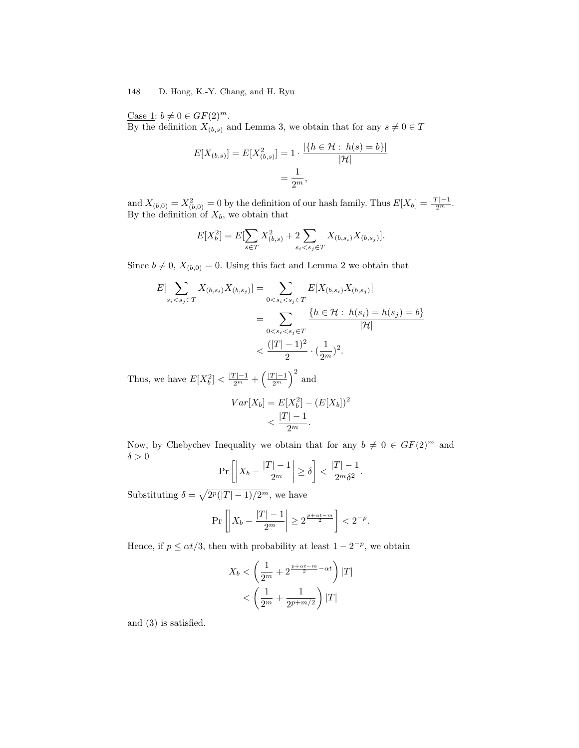Case 1:  $b \neq 0 \in GF(2)^m$ .

By the definition  $X_{(b,s)}$  and Lemma 3, we obtain that for any  $s\neq 0\in T$ 

$$
E[X_{(b,s)}] = E[X_{(b,s)}^2] = 1 \cdot \frac{|\{h \in \mathcal{H} : h(s) = b\}|}{|\mathcal{H}|}
$$

$$
= \frac{1}{2^m},
$$

and  $X_{(b,0)} = X_{(b,0)}^2 = 0$  by the definition of our hash family. Thus  $E[X_b] = \frac{|T| - 1}{2^m}$ . By the definition of  $X_b$ , we obtain that

$$
E[X_b^2] = E[\sum_{s \in T} X_{(b,s)}^2 + 2 \sum_{s_i < s_j \in T} X_{(b,s_i)} X_{(b,s_j)}].
$$

Since  $b \neq 0$ ,  $X_{(b,0)} = 0$ . Using this fact and Lemma 2 we obtain that

$$
E[\sum_{s_i < s_j \in T} X_{(b, s_i)} X_{(b, s_j)}] = \sum_{0 < s_i < s_j \in T} E[X_{(b, s_i)} X_{(b, s_j)}]
$$
\n
$$
= \sum_{0 < s_i < s_j \in T} \frac{\{h \in \mathcal{H} : h(s_i) = h(s_j) = b\}}{|\mathcal{H}|}
$$
\n
$$
< \frac{(|T| - 1)^2}{2} \cdot (\frac{1}{2^m})^2.
$$

Thus, we have  $E[X_b^2] < \frac{|T|-1}{2^m} + \left(\frac{|T|-1}{2^m}\right)^2$  and

$$
Var[X_b] = E[X_b^2] - (E[X_b])^2 < \frac{|T| - 1}{2^m}.
$$

Now, by Chebychev Inequality we obtain that for any  $b \neq 0 \in GF(2)^m$  and  $\delta > 0$ 

$$
\Pr\left[\left|X_b - \frac{|T| - 1}{2^m}\right| \ge \delta\right] < \frac{|T| - 1}{2^m \delta^2}.
$$

Substituting  $\delta = \sqrt{2^p(|T| - 1)/2^m}$ , we have

$$
\Pr\left[\left|X_b - \frac{|T| - 1}{2^m}\right| \ge 2^{\frac{p + \alpha t - m}{2}}\right] < 2^{-p}.
$$

Hence, if  $p \le \alpha t/3$ , then with probability at least  $1 - 2^{-p}$ , we obtain

$$
X_b < \left(\frac{1}{2^m} + 2^{\frac{p+\alpha t - m}{2} - \alpha t}\right) |T|
$$
\n
$$
< \left(\frac{1}{2^m} + \frac{1}{2^{p+m/2}}\right) |T|
$$

and (3) is satisfied.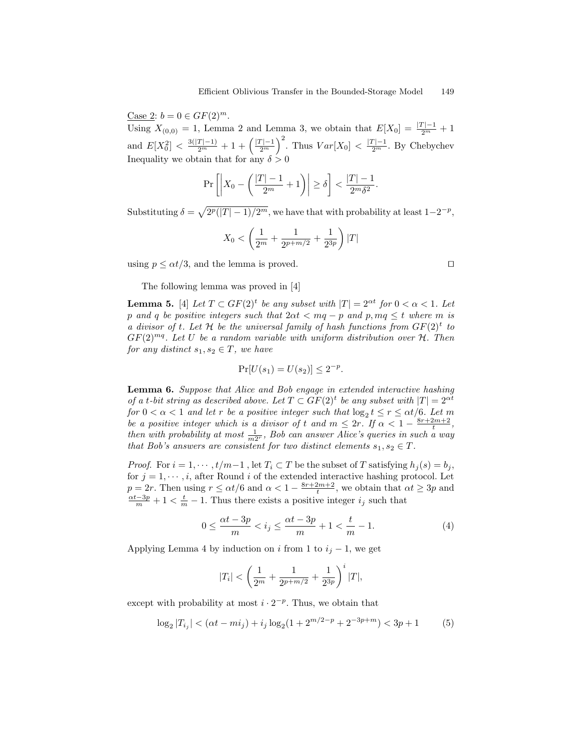Case 2:  $b = 0 \in GF(2)^m$ .

Using  $X_{(0,0)} = 1$ , Lemma 2 and Lemma 3, we obtain that  $E[X_0] = \frac{|T|-1}{2^m} + 1$ and  $E[X_0^2] < \frac{3(|T|-1)}{2^m} + 1 + \left(\frac{|T|-1}{2^m}\right)^2$ . Thus  $Var[X_0] < \frac{|T|-1}{2^m}$ . By Chebychev Inequality we obtain that for any  $\delta > 0$ 

$$
\Pr\left[\left|X_0 - \left(\frac{|T| - 1}{2^m} + 1\right)\right| \ge \delta\right] < \frac{|T| - 1}{2^m \delta^2}.
$$

Substituting  $\delta = \sqrt{2^p(|T|-1)/2^m}$ , we have that with probability at least  $1-2^{-p}$ ,

$$
X_0 < \left(\frac{1}{2^m} + \frac{1}{2^{p+m/2}} + \frac{1}{2^{3p}}\right)|T|
$$

using  $p \leq \alpha t/3$ , and the lemma is proved.

The following lemma was proved in [4]

**Lemma 5.** [4] Let  $T \subset GF(2)^t$  be any subset with  $|T| = 2^{\alpha t}$  for  $0 < \alpha < 1$ . Let p and q be positive integers such that  $2\alpha t < mq - p$  and p,  $mq \leq t$  where m is a divisor of t. Let  $H$  be the universal family of hash functions from  $GF(2)^t$  to  $GF(2)^{mq}$ . Let U be a random variable with uniform distribution over  $H$ . Then for any distinct  $s_1, s_2 \in T$ , we have

$$
\Pr[U(s_1) = U(s_2)] \le 2^{-p}.
$$

Lemma 6. Suppose that Alice and Bob engage in extended interactive hashing of a t-bit string as described above. Let  $T \subset GF(2)^t$  be any subset with  $|T| = 2^{\alpha t}$ for  $0 < \alpha < 1$  and let r be a positive integer such that  $\log_2 t \leq r \leq \alpha t/6$ . Let m be a positive integer which is a divisor of t and  $m \leq 2r$ . If  $\alpha < 1 - \frac{8r + 2m + 2}{t}$ , then with probability at most  $\frac{1}{m2^r}$ , Bob can answer Alice's queries in such a way that Bob's answers are consistent for two distinct elements  $s_1, s_2 \in T$ .

*Proof.* For  $i = 1, \dots, t/m-1$ , let  $T_i \subset T$  be the subset of T satisfying  $h_j(s) = b_j$ , for  $j = 1, \dots, i$ , after Round i of the extended interactive hashing protocol. Let  $p = 2r$ . Then using  $r \le \alpha t/6$  and  $\alpha < 1 - \frac{8r+2m+2}{t}$ , we obtain that  $\alpha t \ge 3p$  and  $\frac{\alpha t - 3p}{m} + 1 < \frac{t}{m} - 1$ . Thus there exists a positive integer  $i_j$  such that

$$
0 \le \frac{\alpha t - 3p}{m} < i_j \le \frac{\alpha t - 3p}{m} + 1 < \frac{t}{m} - 1. \tag{4}
$$

Applying Lemma 4 by induction on i from 1 to  $i_j - 1$ , we get

$$
|T_i| < \left(\frac{1}{2^m} + \frac{1}{2^{p+m/2}} + \frac{1}{2^{3p}}\right)^i |T|,
$$

except with probability at most  $i \cdot 2^{-p}$ . Thus, we obtain that

$$
\log_2 |T_{i_j}| < (\alpha t - m i_j) + i_j \log_2 (1 + 2^{m/2 - p} + 2^{-3p + m}) < 3p + 1 \tag{5}
$$

$$
\Box
$$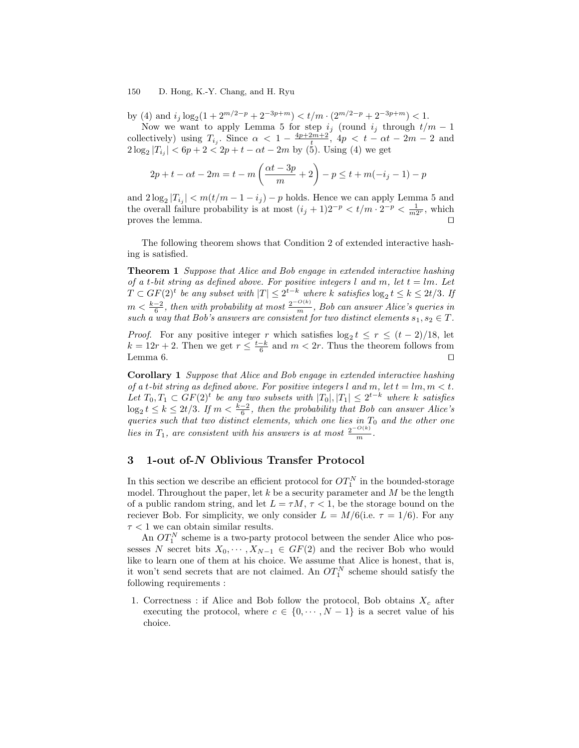by (4) and  $i_j \log_2(1 + 2^{m/2-p} + 2^{-3p+m}) < t/m \cdot (2^{m/2-p} + 2^{-3p+m}) < 1$ .

Now we want to apply Lemma 5 for step  $i_j$  (round  $i_j$  through  $t/m-1$ collectively) using  $T_{i_j}$ . Since  $\alpha < 1 - \frac{4p+2m+2}{t}$ ,  $4p < t - \alpha t - 2m - 2$  and  $2\log_2|T_{i_j}| < 6p + 2 < 2p + t - \alpha t - 2m$  by (5). Using (4) we get

$$
2p + t - \alpha t - 2m = t - m\left(\frac{\alpha t - 3p}{m} + 2\right) - p \le t + m(-i, -1) - p
$$

and  $2\log_2|T_{i_j}| < m(t/m - 1 - i_j) - p$  holds. Hence we can apply Lemma 5 and the overall failure probability is at most  $(i_j + 1)2^{-p} < t/m \cdot 2^{-p} < \frac{1}{m2^r}$ , which proves the lemma.  $\Box$ 

The following theorem shows that Condition 2 of extended interactive hashing is satisfied.

**Theorem 1** Suppose that Alice and Bob engage in extended interactive hashing of a t-bit string as defined above. For positive integers l and m, let  $t = lm$ . Let  $T \subset GF(2)^t$  be any subset with  $|T| \leq 2^{t-k}$  where k satisfies  $\log_2 t \leq k \leq 2t/3$ . If  $m < \frac{k-2}{6}$ , then with probability at most  $\frac{2^{-O(k)}}{m}$ , Bob can answer Alice's queries in such a way that Bob's answers are consistent for two distinct elements  $s_1, s_2 \in T$ .

*Proof.* For any positive integer r which satisfies  $\log_2 t \leq r \leq (t-2)/18$ , let  $k = 12r + 2$ . Then we get  $r \leq \frac{t-k}{6}$  and  $m < 2r$ . Thus the theorem follows from Lemma 6.  $\Box$ 

Corollary 1 Suppose that Alice and Bob engage in extended interactive hashing of a t-bit string as defined above. For positive integers l and m, let  $t = lm, m < t$ . Let  $T_0, T_1 \subset GF(2)^t$  be any two subsets with  $|T_0|, |T_1| \leq 2^{t-k}$  where k satisfies  $\log_2 t \leq k \leq 2t/3$ . If  $m < \frac{k-2}{6}$ , then the probability that Bob can answer Alice's queries such that two distinct elements, which one lies in  $T_0$  and the other one lies in  $T_1$ , are consistent with his answers is at most  $\frac{2^{-O(k)}}{m}$ .

### 3 1-out of-N Oblivious Transfer Protocol

In this section we describe an efficient protocol for  $OT_1^N$  in the bounded-storage model. Throughout the paper, let  $k$  be a security parameter and  $M$  be the length of a public random string, and let  $L = \tau M$ ,  $\tau < 1$ , be the storage bound on the reciever Bob. For simplicity, we only consider  $L = M/6$  (i.e.  $\tau = 1/6$ ). For any  $\tau < 1$  we can obtain similar results.

An  $OT<sub>1</sub><sup>N</sup>$  scheme is a two-party protocol between the sender Alice who possesses N secret bits  $X_0, \dots, X_{N-1} \in GF(2)$  and the reciver Bob who would like to learn one of them at his choice. We assume that Alice is honest, that is, it won't send secrets that are not claimed. An  $OT_1^N$  scheme should satisfy the following requirements :

1. Correctness : if Alice and Bob follow the protocol, Bob obtains  $X_c$  after executing the protocol, where  $c \in \{0, \dots, N-1\}$  is a secret value of his choice.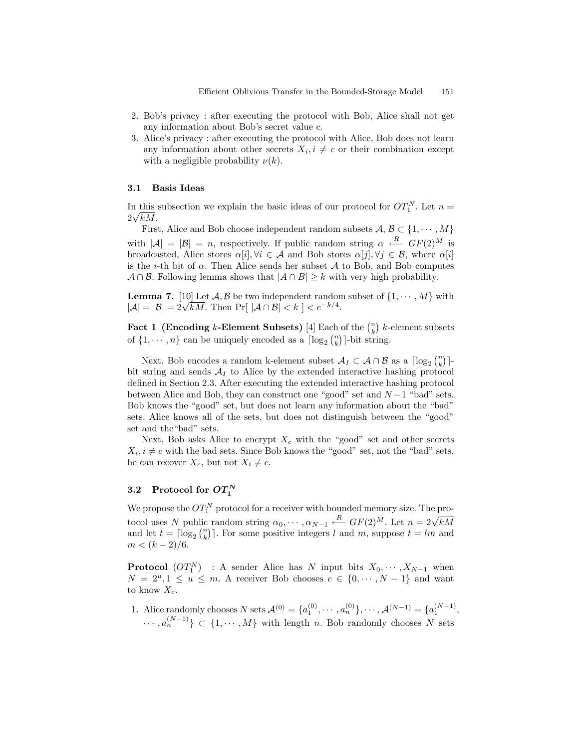- 2. Bob's privacy : after executing the protocol with Bob, Alice shall not get any information about Bob's secret value c.
- 3. Alice's privacy : after executing the protocol with Alice, Bob does not learn any information about other secrets  $X_i, i \neq c$  or their combination except with a negligible probability  $\nu(k)$ .

#### 3.1 Basis Ideas

In this subsection we explain the basic ideas of our protocol for  $OT_1^N$ . Let  $n =$  $\frac{\text{m}}{2\sqrt{kM}}$ .

First, Alice and Bob choose independent random subsets  $A, B \subset \{1, \dots, M\}$ with  $|\mathcal{A}| = |\mathcal{B}| = n$ , respectively. If public random string  $\alpha \leftarrow R$   $GF(2)^M$  is broadcasted, Alice stores  $\alpha[i], \forall i \in \mathcal{A}$  and Bob stores  $\alpha[j], \forall j \in \mathcal{B}$ , where  $\alpha[i]$ is the *i*-th bit of  $\alpha$ . Then Alice sends her subset A to Bob, and Bob computes  $A \cap B$ . Following lemma shows that  $|A \cap B| \geq k$  with very high probability.

**Lemma 7.** [10] Let  $A, B$  be two independent random subset of  $\{1, \dots, M\}$  with  $|A| = |B| = 2\sqrt{kM}$ . Then Pr[  $|A \cap B| < k$  ]  $\lt e^{-k/4}$ .

Fact 1 (Encoding k-Element Subsets) [4] Each of the  $\binom{n}{k}$  k-element subsets of  $\{1, \dots, n\}$  can be uniquely encoded as a  $\lceil \log_2 {n \choose k} \rceil$ -bit string.

Next, Bob encodes a random k-element subset  $\mathcal{A}_I \subset \mathcal{A} \cap \mathcal{B}$  as a  $\lceil \log_2 {n \choose k} \rceil$ bit string and sends  $A_I$  to Alice by the extended interactive hashing protocol defined in Section 2.3. After executing the extended interactive hashing protocol between Alice and Bob, they can construct one "good" set and  $N-1$  "bad" sets. Bob knows the "good" set, but does not learn any information about the "bad" sets. Alice knows all of the sets, but does not distinguish between the "good" set and the"bad" sets.

Next, Bob asks Alice to encrypt  $X_c$  with the "good" set and other secrets  $X_i, i \neq c$  with the bad sets. Since Bob knows the "good" set, not the "bad" sets, he can recover  $X_c$ , but not  $X_i \neq c$ .

## 3.2 Protocol for  $OT_1^N$

We propose the  $OT<sub>1</sub><sup>N</sup>$  protocol for a receiver with bounded memory size. The protocol uses N public random string  $\alpha_0, \cdots, \alpha_{N-1} \stackrel{R}{\leftarrow} GF(2)^M$ . Let  $n = 2\sqrt{kM}$ and let  $t = \lceil \log_2 {n \choose k} \rceil$ . For some positive integers l and m, suppose  $t = lm$  and  $m < (k-2)/6.$ 

**Protocol**  $(OT_1^N)$  : A sender Alice has N input bits  $X_0, \dots, X_{N-1}$  when  $N = 2<sup>u</sup>, 1 \le u \le m$ . A receiver Bob chooses  $c \in \{0, \dots, N-1\}$  and want to know  $X_c$ .

1. Alice randomly chooses N sets  $\mathcal{A}^{(0)} = \{a_1^{(0)}, \cdots, a_n^{(0)}\}, \cdots, \mathcal{A}^{(N-1)} = \{a_1^{(N-1)},$  $\cdots, a_n^{(N-1)}\} \subset \{1, \cdots, M\}$  with length *n*. Bob randomly chooses N sets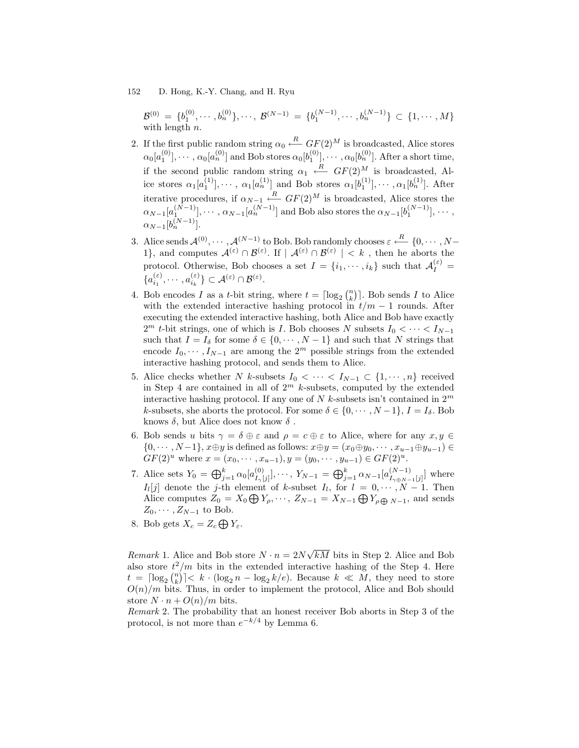$\mathcal{B}^{(0)} \ = \ \{b_1^{(0)}, \cdots, b_n^{(0)}\}, \cdots, \ \mathcal{B}^{(N-1)} \ = \ \{b_1^{(N-1)}, \cdots, b_n^{(N-1)}\} \ \subset \ \{1, \cdots, M\}$ with length  $n$ .

- 2. If the first public random string  $\alpha_0 \stackrel{R}{\longleftarrow} GF(2)^M$  is broadcasted, Alice stores  $\alpha_0[a_1^{(0)}], \cdots, \alpha_0[a_n^{(0)}]$  and Bob stores  $\alpha_0[b_1^{(0)}], \cdots, \alpha_0[b_n^{(0)}]$ . After a short time, if the second public random string  $\alpha_1 \leftarrow R$   $GF(2)^M$  is broadcasted, Alice stores  $\alpha_1[a_1^{(1)}], \dots, \alpha_1[a_n^{(1)}]$  and Bob stores  $\alpha_1[b_1^{(1)}], \dots, \alpha_1[b_n^{(1)}]$ . After iterative procedures, if  $\alpha_{N-1} \stackrel{R}{\longrightarrow} GF(2)^M$  is broadcasted, Alice stores the  $\alpha_{N-1}[a_1^{(N-1)}], \cdots, \alpha_{N-1}[a_n^{(N-1)}]$  and Bob also stores the  $\alpha_{N-1}[b_1^{(N-1)}], \cdots$ ,  $\alpha_{N-1}[b_n^{(N-1)}].$
- 3. Alice sends  $\mathcal{A}^{(0)}, \cdots, \mathcal{A}^{(N-1)}$  to Bob. Bob randomly chooses  $\varepsilon \stackrel{R}{\longleftarrow} \{0, \cdots, N-1\}$ 1}, and computes  $\mathcal{A}^{(\varepsilon)} \cap \mathcal{B}^{(\varepsilon)}$ . If  $| \mathcal{A}^{(\varepsilon)} \cap \mathcal{B}^{(\varepsilon)} | < k$ , then he aborts the protocol. Otherwise, Bob chooses a set  $I = \{i_1, \dots, i_k\}$  such that  $\mathcal{A}_I^{(\varepsilon)}$  ${a_{i_1}^{(\varepsilon)}, \cdots, a_{i_k}^{(\varepsilon)}}\subset \mathcal{A}^{(\varepsilon)} \cap \mathcal{B}^{(\varepsilon)}.$
- 4. Bob encodes *I* as a *t*-bit string, where  $t = \lceil \log_2 {n \choose k} \rceil$ . Bob sends *I* to Alice with the extended interactive hashing protocol in  $t/m - 1$  rounds. After executing the extended interactive hashing, both Alice and Bob have exactly  $2^m$  *t*-bit strings, one of which is *I*. Bob chooses N subsets  $I_0 < \cdots < I_{N-1}$ such that  $I = I_{\delta}$  for some  $\delta \in \{0, \dots, N-1\}$  and such that N strings that encode  $I_0, \dots, I_{N-1}$  are among the  $2^m$  possible strings from the extended interactive hashing protocol, and sends them to Alice.
- 5. Alice checks whether N k-subsets  $I_0 < \cdots < I_{N-1} \subset \{1, \cdots, n\}$  received in Step 4 are contained in all of  $2^m$  k-subsets, computed by the extended interactive hashing protocol. If any one of  $N$  k-subsets isn't contained in  $2^m$ k-subsets, she aborts the protocol. For some  $\delta \in \{0, \dots, N-1\}, I = I_{\delta}$ . Bob knows  $\delta$ , but Alice does not know  $\delta$ .
- 6. Bob sends u bits  $\gamma = \delta \oplus \varepsilon$  and  $\rho = c \oplus \varepsilon$  to Alice, where for any  $x, y \in$  $\{0, \dots, N-1\}, x \oplus y$  is defined as follows:  $x \oplus y = (x_0 \oplus y_0, \dots, x_{u-1} \oplus y_{u-1}) \in$  $GF(2)<sup>u</sup>$  where  $x = (x_0, \dots, x_{u-1}), y = (y_0, \dots, y_{u-1}) \in GF(2)<sup>u</sup>$ .
- 7. Alice sets  $Y_0 = \bigoplus_{j=1}^k \alpha_0 [a_{I_{\gamma}}^{(0)}]$  $\{ \sum_{I_{\gamma}[j]}^{(0)} \}, \cdots, \ Y_{N-1} = \bigoplus_{j=1}^k \alpha_{N-1} [ a_{I_{\gamma \oplus N - j}}^{(N-1)} ]$  $\binom{N-1}{I_{\gamma \oplus N-1}[j]}$  where  $I_l[j]$  denote the *j*-th element of k-subset  $I_l$ , for  $l = 0, \dots, N-1$ . Then Alice computes  $Z_0 = X_0 \bigoplus Y_{\rho}, \cdots, Z_{N-1} = X_{N-1} \bigoplus Y_{\rho \bigoplus N-1}$ , and sends  $Z_0, \cdots, Z_{N-1}$  to Bob.
- 8. Bob gets  $X_c = Z_c \bigoplus Y_{\varepsilon}$ .

*Remark* 1. Alice and Bob store  $N \cdot n = 2N\sqrt{kM}$  bits in Step 2. Alice and Bob also store  $t^2/m$  bits in the extended interactive hashing of the Step 4. Here  $t = \lceil \log_2 {n \choose k} \rceil \le k \cdot (\log_2 n - \log_2 k/e)$ . Because  $k \ll M$ , they need to store  $O(n)/m$  bits. Thus, in order to implement the protocol, Alice and Bob should store  $N \cdot n + O(n)/m$  bits.

Remark 2. The probability that an honest receiver Bob aborts in Step 3 of the protocol, is not more than  $e^{-k/4}$  by Lemma 6.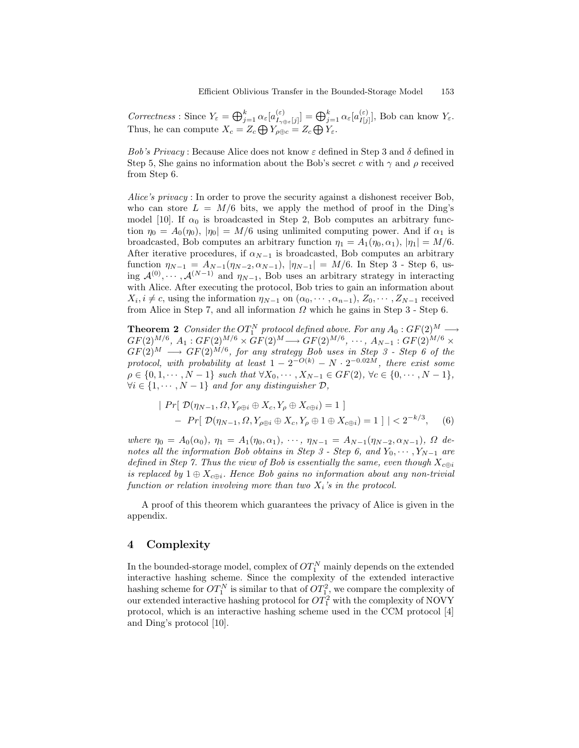Correctness : Since  $Y_{\varepsilon} = \bigoplus_{j=1}^{k} \alpha_{\varepsilon} [a_{I_{\gamma\epsilon}}^{(\varepsilon)}]$  $\left[ \begin{smallmatrix} (\varepsilon) \ I_{\gamma\oplus\varepsilon}[j] \end{smallmatrix} \right] = \bigoplus_{j=1}^k \alpha_\varepsilon [a^{(\varepsilon)}_{I[j]}]$  $\prod_{I[j]}^{(\varepsilon)}$ , Bob can know  $Y_{\varepsilon}$ . Thus, he can compute  $X_c = Z_c \bigoplus Y_{\rho \oplus c} = Z_c \bigoplus Y_{\varepsilon}$ .

Bob's Privacy : Because Alice does not know  $\varepsilon$  defined in Step 3 and  $\delta$  defined in Step 5, She gains no information about the Bob's secret c with  $\gamma$  and  $\rho$  received from Step 6.

Alice's privacy : In order to prove the security against a dishonest receiver Bob, who can store  $L = M/6$  bits, we apply the method of proof in the Ding's model [10]. If  $\alpha_0$  is broadcasted in Step 2, Bob computes an arbitrary function  $\eta_0 = A_0(\eta_0)$ ,  $|\eta_0| = M/6$  using unlimited computing power. And if  $\alpha_1$  is broadcasted, Bob computes an arbitrary function  $\eta_1 = A_1(\eta_0, \alpha_1), |\eta_1| = M/6$ . After iterative procedures, if  $\alpha_{N-1}$  is broadcasted, Bob computes an arbitrary function  $\eta_{N-1} = A_{N-1}(\eta_{N-2}, \alpha_{N-1}), |\eta_{N-1}| = M/6$ . In Step 3 - Step 6, using  $\mathcal{A}^{(0)}, \cdots, \mathcal{A}^{(N-1)}$  and  $\eta_{N-1}$ , Bob uses an arbitrary strategy in interacting with Alice. After executing the protocol, Bob tries to gain an information about  $X_i, i \neq c$ , using the information  $\eta_{N-1}$  on  $(\alpha_0, \dots, \alpha_{n-1}), Z_0, \dots, Z_{N-1}$  received from Alice in Step 7, and all information  $\Omega$  which he gains in Step 3 - Step 6.

**Theorem 2** Consider the  $OT_1^N$  protocol defined above. For any  $A_0: GF(2)^M \longrightarrow$  $GF(2)^{M/6}, A_1: GF(2)^{M/6} \times GF(2)^M \longrightarrow GF(2)^{M/6}, \cdots, A_{N-1}: GF(2)^{M/6} \times$  $GF(2)<sup>M</sup> \longrightarrow GF(2)<sup>M/6</sup>$ , for any strategy Bob uses in Step 3 - Step 6 of the protocol, with probability at least  $1 - 2^{-O(k)} - N \cdot 2^{-0.02M}$ , there exist some  $\rho \in \{0, 1, \dots, N - 1\}$  such that  $\forall X_0, \dots, X_{N-1} \in GF(2), \forall c \in \{0, \dots, N - 1\},$  $\forall i \in \{1, \cdots, N-1\}$  and for any distinguisher  $\mathcal{D}$ ,

$$
\begin{aligned} \mid Pr[ \ \mathcal{D}(\eta_{N-1}, \Omega, Y_{\rho \oplus i} \oplus X_c, Y_{\rho} \oplus X_{c \oplus i}) = 1 \ ] \\ - \quad Pr[ \ \mathcal{D}(\eta_{N-1}, \Omega, Y_{\rho \oplus i} \oplus X_c, Y_{\rho} \oplus 1 \oplus X_{c \oplus i}) = 1 \ ] \mid < 2^{-k/3}, \end{aligned} \tag{6}
$$

where  $\eta_0 = A_0(\alpha_0)$ ,  $\eta_1 = A_1(\eta_0, \alpha_1)$ ,  $\cdots$ ,  $\eta_{N-1} = A_{N-1}(\eta_{N-2}, \alpha_{N-1})$ ,  $\Omega$  denotes all the information Bob obtains in Step 3 - Step 6, and  $Y_0, \dots, Y_{N-1}$  are defined in Step 7. Thus the view of Bob is essentially the same, even though  $X_{c \oplus i}$ is replaced by  $1 \oplus X_{c \oplus i}$ . Hence Bob gains no information about any non-trivial function or relation involving more than two  $X_i$ 's in the protocol.

A proof of this theorem which guarantees the privacy of Alice is given in the appendix.

## 4 Complexity

In the bounded-storage model, complex of  $OT^N_1$  mainly depends on the extended interactive hashing scheme. Since the complexity of the extended interactive hashing scheme for  $OT_1^N$  is similar to that of  $OT_1^2$ , we compare the complexity of our extended interactive hashing protocol for  $OT_1^2$  with the complexity of NOVY protocol, which is an interactive hashing scheme used in the CCM protocol [4] and Ding's protocol [10].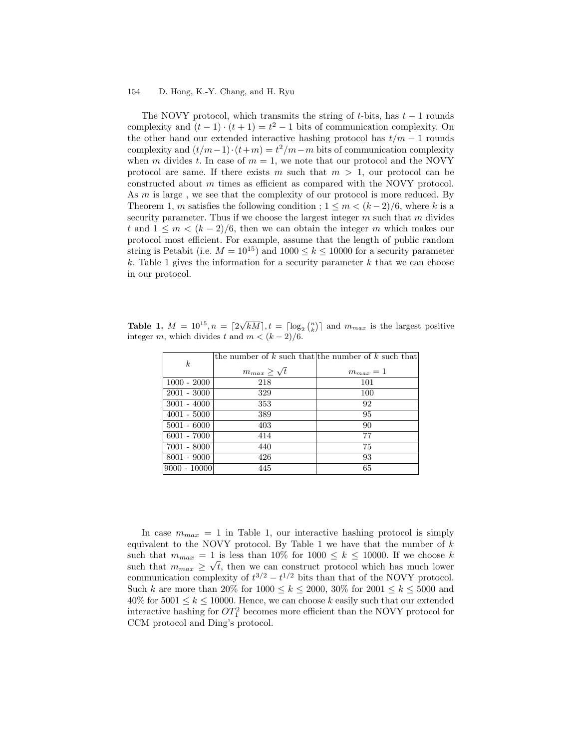The NOVY protocol, which transmits the string of  $t$ -bits, has  $t - 1$  rounds complexity and  $(t-1) \cdot (t+1) = t^2 - 1$  bits of communication complexity. On the other hand our extended interactive hashing protocol has  $t/m - 1$  rounds complexity and  $(t/m-1) \cdot (t+m) = t^2/m-m$  bits of communication complexity when m divides t. In case of  $m = 1$ , we note that our protocol and the NOVY protocol are same. If there exists m such that  $m > 1$ , our protocol can be constructed about m times as efficient as compared with the NOVY protocol. As m is large, we see that the complexity of our protocol is more reduced. By Theorem 1, m satisfies the following condition ;  $1 \leq m < (k-2)/6$ , where k is a security parameter. Thus if we choose the largest integer  $m$  such that  $m$  divides t and  $1 \leq m \leq (k-2)/6$ , then we can obtain the integer m which makes our protocol most efficient. For example, assume that the length of public random string is Petabit (i.e.  $M = 10^{15}$ ) and  $1000 \le k \le 10000$  for a security parameter k. Table 1 gives the information for a security parameter  $k$  that we can choose in our protocol.

Table 1.  $M = 10^{15}$ ,  $n = \left[2\sqrt{kM}\right]$ ,  $t = \left[\log_2 {n \choose k}\right]$  and  $m_{max}$  is the largest positive integer m, which divides t and  $m < (k-2)/6$ .

|                  |                         | the number of $k$ such that the number of $k$ such that |
|------------------|-------------------------|---------------------------------------------------------|
| $\boldsymbol{k}$ | $m_{max} \geq \sqrt{t}$ | $m_{max}=1$                                             |
| $1000 - 2000$    | 218                     | 101                                                     |
| $2001 - 3000$    | 329                     | 100                                                     |
| $3001 - 4000$    | 353                     | 92                                                      |
| $4001 - 5000$    | 389                     | 95                                                      |
| $5001 - 6000$    | 403                     | 90                                                      |
| $6001 - 7000$    | 414                     | 77                                                      |
| $ 7001 - 8000$   | 440                     | 75                                                      |
| $8001 - 9000$    | 426                     | 93                                                      |
| $9000 - 10000$   | 445                     | 65                                                      |

In case  $m_{max} = 1$  in Table 1, our interactive hashing protocol is simply equivalent to the NOVY protocol. By Table 1 we have that the number of  $k$ such that  $m_{max} = 1$  is less than 10% for 1000  $\leq k \leq$  10000. If we choose k such that  $m_{max} \ge \sqrt{t}$ , then we can construct protocol which has much lower communication complexity of  $t^{3/2} - t^{1/2}$  bits than that of the NOVY protocol. Such k are more than 20% for  $1000 \le k \le 2000$ , 30% for  $2001 \le k \le 5000$  and  $40\%$  for  $5001 \leq k \leq 10000$ . Hence, we can choose k easily such that our extended interactive hashing for  $OT_1^2$  becomes more efficient than the NOVY protocol for CCM protocol and Ding's protocol.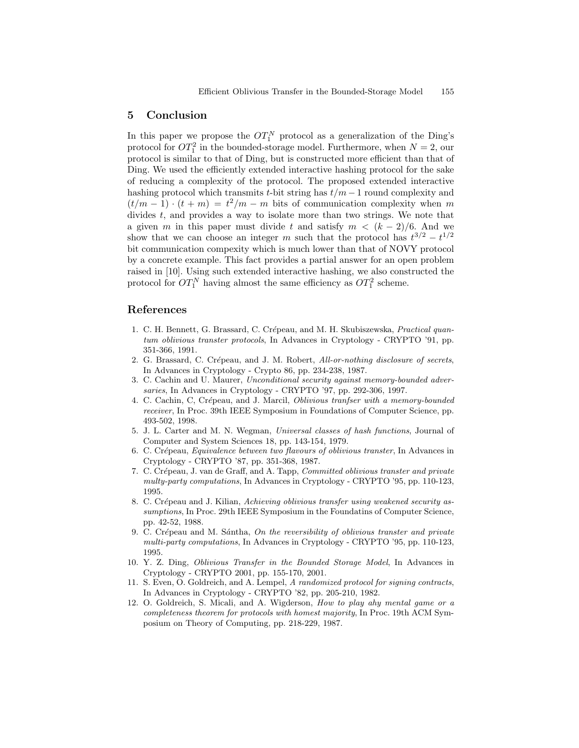## 5 Conclusion

In this paper we propose the  $OT_1^N$  protocol as a generalization of the Ding's protocol for  $OT_1^2$  in the bounded-storage model. Furthermore, when  $N = 2$ , our protocol is similar to that of Ding, but is constructed more efficient than that of Ding. We used the efficiently extended interactive hashing protocol for the sake of reducing a complexity of the protocol. The proposed extended interactive hashing protocol which transmits t-bit string has  $t/m - 1$  round complexity and  $(t/m-1) \cdot (t+m) = t^2/m - m$  bits of communication complexity when m divides t, and provides a way to isolate more than two strings. We note that a given m in this paper must divide t and satisfy  $m < (k-2)/6$ . And we show that we can choose an integer m such that the protocol has  $t^{3/2} - t^{1/2}$ bit communication compexity which is much lower than that of NOVY protocol by a concrete example. This fact provides a partial answer for an open problem raised in [10]. Using such extended interactive hashing, we also constructed the protocol for  $OT_1^N$  having almost the same efficiency as  $OT_1^2$  scheme.

## References

- 1. C. H. Bennett, G. Brassard, C. Crépeau, and M. H. Skubiszewska, *Practical quan*tum oblivious transter protocols, In Advances in Cryptology - CRYPTO '91, pp. 351-366, 1991.
- 2. G. Brassard, C. Crépeau, and J. M. Robert, All-or-nothing disclosure of secrets, In Advances in Cryptology - Crypto 86, pp. 234-238, 1987.
- 3. C. Cachin and U. Maurer, Unconditional security against memory-bounded adversaries, In Advances in Cryptology - CRYPTO '97, pp. 292-306, 1997.
- 4. C. Cachin, C, Crépeau, and J. Marcil, *Oblivious tranfser with a memory-bounded* receiver, In Proc. 39th IEEE Symposium in Foundations of Computer Science, pp. 493-502, 1998.
- 5. J. L. Carter and M. N. Wegman, Universal classes of hash functions, Journal of Computer and System Sciences 18, pp. 143-154, 1979.
- 6. C. Crépeau, Equivalence between two flavours of oblivious transter, In Advances in Cryptology - CRYPTO '87, pp. 351-368, 1987.
- 7. C. Crépeau, J. van de Graff, and A. Tapp, Committed oblivious transter and private multy-party computations, In Advances in Cryptology - CRYPTO '95, pp. 110-123, 1995.
- 8. C. Crépeau and J. Kilian, Achieving oblivious transfer using weakened security assumptions, In Proc. 29th IEEE Symposium in the Foundatins of Computer Science, pp. 42-52, 1988.
- 9. C. Crépeau and M. Sántha,  $On$  the reversibility of oblivious transter and private multi-party computations, In Advances in Cryptology - CRYPTO '95, pp. 110-123, 1995.
- 10. Y. Z. Ding, Oblivious Transfer in the Bounded Storage Model, In Advances in Cryptology - CRYPTO 2001, pp. 155-170, 2001.
- 11. S. Even, O. Goldreich, and A. Lempel, A randomized protocol for signing contracts, In Advances in Cryptology - CRYPTO '82, pp. 205-210, 1982.
- 12. O. Goldreich, S. Micali, and A. Wigderson, How to play ahy mental game or a completeness theorem for protocols with homest majority, In Proc. 19th ACM Symposium on Theory of Computing, pp. 218-229, 1987.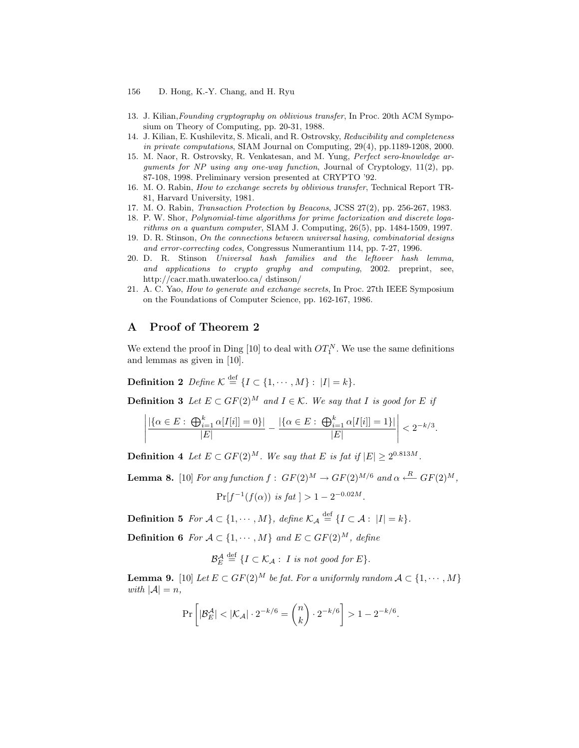- 13. J. Kilian,Founding cryptography on oblivious transfer, In Proc. 20th ACM Symposium on Theory of Computing, pp. 20-31, 1988.
- 14. J. Kilian, E. Kushilevitz, S. Micali, and R. Ostrovsky, Reducibility and completeness in private computations, SIAM Journal on Computing, 29(4), pp.1189-1208, 2000.
- 15. M. Naor, R. Ostrovsky, R. Venkatesan, and M. Yung, Perfect sero-knowledge arguments for NP using any one-way function, Journal of Cryptology, 11(2), pp. 87-108, 1998. Preliminary version presented at CRYPTO '92.
- 16. M. O. Rabin, How to exchange secrets by oblivious transfer, Technical Report TR-81, Harvard University, 1981.
- 17. M. O. Rabin, Transaction Protection by Beacons, JCSS 27(2), pp. 256-267, 1983.
- 18. P. W. Shor, Polynomial-time algorithms for prime factorization and discrete logarithms on a quantum computer, SIAM J. Computing, 26(5), pp. 1484-1509, 1997.
- 19. D. R. Stinson, On the connections between universal hasing, combinatorial designs and error-correcting codes, Congressus Numerantium 114, pp. 7-27, 1996.
- 20. D. R. Stinson Universal hash families and the leftover hash lemma, and applications to crypto graphy and computing, 2002. preprint, see, http://cacr.math.uwaterloo.ca/ dstinson/
- 21. A. C. Yao, How to generate and exchange secrets, In Proc. 27th IEEE Symposium on the Foundations of Computer Science, pp. 162-167, 1986.

## A Proof of Theorem 2

We extend the proof in Ding [10] to deal with  $OT_1^N$ . We use the same definitions and lemmas as given in [10].

**Definition 2** Define  $\mathcal{K} \stackrel{\text{def}}{=} \{I \subset \{1, \cdots, M\} : |I| = k\}.$ 

**Definition 3** Let  $E \subset GF(2)^M$  and  $I \in \mathcal{K}$ . We say that I is good for E if

$$
\left| \frac{|\{\alpha \in E:\ \bigoplus_{i=1}^k \alpha[I[i]] = 0\}|}{|E|} - \frac{|\{\alpha \in E:\ \bigoplus_{i=1}^k \alpha[I[i]] = 1\}|}{|E|} \right| < 2^{-k/3}.
$$

**Definition 4** Let  $E \subset GF(2)^M$ . We say that E is fat if  $|E| \ge 2^{0.813M}$ .

**Lemma 8.** [10] For any function  $f: GF(2)^M \to GF(2)^{M/6}$  and  $\alpha \stackrel{R}{\longleftarrow} GF(2)^M$ ,

$$
\Pr[f^{-1}(f(\alpha)) \text{ is } fat] > 1 - 2^{-0.02M}.
$$

**Definition 5** For  $\mathcal{A} \subset \{1, \dots, M\}$ , define  $\mathcal{K}_{\mathcal{A}} \stackrel{\text{def}}{=} \{I \subset \mathcal{A} : |I| = k\}.$ 

**Definition 6** For  $A \subset \{1, \dots, M\}$  and  $E \subset GF(2)^M$ , define

 $\overline{A}$ 

$$
\mathcal{B}_{E}^{\mathcal{A}} \stackrel{\text{def}}{=} \{I \subset \mathcal{K}_{\mathcal{A}} : I \text{ is not good for } E\}.
$$

**Lemma 9.** [10] Let  $E \subset GF(2)^M$  be fat. For a uniformly random  $A \subset \{1, \dots, M\}$ with  $|\mathcal{A}| = n$ ,

$$
\Pr\left[|\mathcal{B}_E^{\mathcal{A}}| < |\mathcal{K}_{\mathcal{A}}| \cdot 2^{-k/6} = \binom{n}{k} \cdot 2^{-k/6}\right] > 1 - 2^{-k/6}.
$$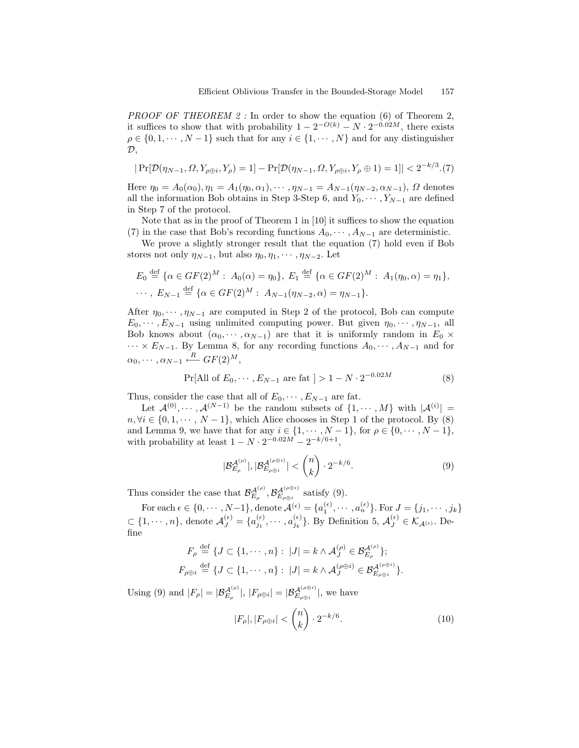PROOF OF THEOREM 2 : In order to show the equation (6) of Theorem 2, it suffices to show that with probability  $1 - 2^{-O(k)} - N \cdot 2^{-0.02M}$ , there exists  $\rho \in \{0, 1, \dots, N-1\}$  such that for any  $i \in \{1, \dots, N\}$  and for any distinguisher  $\mathcal{D},$ 

$$
|\Pr[\mathcal{D}(\eta_{N-1}, \Omega, Y_{\rho \oplus i}, Y_{\rho}) = 1] - \Pr[\mathcal{D}(\eta_{N-1}, \Omega, Y_{\rho \oplus i}, Y_{\rho} \oplus 1) = 1]| < 2^{-k/3}. (7)
$$

Here  $\eta_0 = A_0(\alpha_0), \eta_1 = A_1(\eta_0, \alpha_1), \cdots, \eta_{N-1} = A_{N-1}(\eta_{N-2}, \alpha_{N-1}), \Omega$  denotes all the information Bob obtains in Step 3-Step 6, and  $Y_0, \dots, Y_{N-1}$  are defined in Step 7 of the protocol.

Note that as in the proof of Theorem 1 in [10] it suffices to show the equation (7) in the case that Bob's recording functions  $A_0, \dots, A_{N-1}$  are deterministic.

We prove a slightly stronger result that the equation (7) hold even if Bob stores not only  $\eta_{N-1}$ , but also  $\eta_0, \eta_1, \cdots, \eta_{N-2}$ . Let

$$
E_0 \stackrel{\text{def}}{=} \{ \alpha \in GF(2)^M : A_0(\alpha) = \eta_0 \}, E_1 \stackrel{\text{def}}{=} \{ \alpha \in GF(2)^M : A_1(\eta_0, \alpha) = \eta_1 \},
$$
  
..., 
$$
E_{N-1} \stackrel{\text{def}}{=} \{ \alpha \in GF(2)^M : A_{N-1}(\eta_{N-2}, \alpha) = \eta_{N-1} \}.
$$

After  $\eta_0, \dots, \eta_{N-1}$  are computed in Step 2 of the protocol, Bob can compute  $E_0, \dots, E_{N-1}$  using unlimited computing power. But given  $\eta_0, \dots, \eta_{N-1}$ , all Bob knows about  $(\alpha_0, \dots, \alpha_{N-1})$  are that it is uniformly random in  $E_0 \times$  $\cdots \times E_{N-1}$ . By Lemma 8, for any recording functions  $A_0, \cdots, A_{N-1}$  and for  $\alpha_0, \cdots, \alpha_{N-1} \stackrel{R}{\longleftarrow} GF(2)^M,$ 

$$
Pr[All of E_0, \cdots, E_{N-1} \text{ are fat }] > 1 - N \cdot 2^{-0.02M}
$$
 (8)

Thus, consider the case that all of  $E_0, \dots, E_{N-1}$  are fat.

Let  $\mathcal{A}^{(0)}, \cdots, \mathcal{A}^{(N-1)}$  be the random subsets of  $\{1, \cdots, M\}$  with  $|\mathcal{A}^{(i)}|$  =  $n, \forall i \in \{0, 1, \dots, N-1\},\$  which Alice chooses in Step 1 of the protocol. By (8) and Lemma 9, we have that for any  $i \in \{1, \dots, N-1\}$ , for  $\rho \in \{0, \dots, N-1\}$ , with probability at least  $1 - N \cdot 2^{-0.02M} - 2^{-k/6+1}$ ,

$$
|\mathcal{B}_{E_{\rho}}^{\mathcal{A}^{(\rho)}}|, |\mathcal{B}_{E_{\rho\oplus i}}^{\mathcal{A}^{(\rho\oplus i)}}| < \binom{n}{k} \cdot 2^{-k/6}.\tag{9}
$$

Thus consider the case that  $\mathcal{B}_{E_{\rho}}^{\mathcal{A}^{(\rho)}}, \mathcal{B}_{E_{\rho\oplus i}}^{\mathcal{A}^{(\rho\oplus i)}}$  satisfy (9).

For each  $\epsilon \in \{0, \cdots, N-1\}$ , denote  $\mathcal{A}^{(\epsilon)} = \{a_1^{(\epsilon)}, \cdots, a_n^{(\epsilon)}\}$ . For  $J = \{j_1, \cdots, j_k\}$  $\subset \{1, \dots, n\}$ , denote  $\mathcal{A}_{J}^{(\epsilon)} = \{a_{j_1}^{(\epsilon)}, \dots, a_{j_k}^{(\epsilon)}\}$ . By Definition 5,  $\mathcal{A}_{J}^{(\epsilon)} \in \mathcal{K}_{\mathcal{A}^{(\epsilon)}}$ . Define

$$
\begin{split} F_{\rho} & \stackrel{\text{def}}{=} \{J \subset \{1, \cdots, n\}: \ |J| = k \wedge \mathcal{A}_{J}^{(\rho)} \in \mathcal{B}_{E_{\rho}}^{\mathcal{A}^{(\rho)}}\}; \\ F_{\rho \oplus i} & \stackrel{\text{def}}{=} \{J \subset \{1, \cdots, n\}: \ |J| = k \wedge \mathcal{A}_{J}^{(\rho \oplus i)} \in \mathcal{B}_{E_{\rho \oplus i}}^{\mathcal{A}^{(\rho \oplus i)}}\}. \end{split}
$$

Using (9) and  $|F_{\rho}| = |\mathcal{B}_{E_{\rho}}^{\mathcal{A}^{(\rho)}}|, |F_{\rho \oplus i}| = |\mathcal{B}_{E_{\rho \oplus i}}^{\mathcal{A}^{(\rho \oplus i)}}|,$  we have

$$
|F_{\rho}|, |F_{\rho \oplus i}| < \binom{n}{k} \cdot 2^{-k/6}.\tag{10}
$$